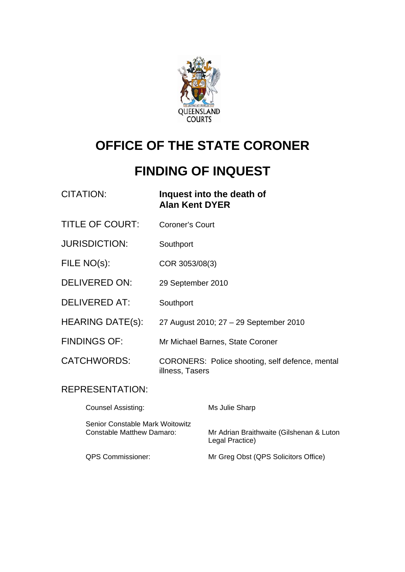

# **OFFICE OF THE STATE CORONER**

# **FINDING OF INQUEST**

| <b>CITATION:</b>                                                    | <b>Alan Kent DYER</b>  | Inquest into the death of                                   |
|---------------------------------------------------------------------|------------------------|-------------------------------------------------------------|
| <b>TITLE OF COURT:</b>                                              | <b>Coroner's Court</b> |                                                             |
| <b>JURISDICTION:</b>                                                | Southport              |                                                             |
| FILE NO(s):                                                         | COR 3053/08(3)         |                                                             |
| <b>DELIVERED ON:</b>                                                | 29 September 2010      |                                                             |
| <b>DELIVERED AT:</b>                                                | Southport              |                                                             |
| HEARING DATE(s):                                                    |                        | 27 August 2010; 27 - 29 September 2010                      |
| <b>FINDINGS OF:</b>                                                 |                        | Mr Michael Barnes, State Coroner                            |
| <b>CATCHWORDS:</b>                                                  | illness, Tasers        | CORONERS: Police shooting, self defence, mental             |
| <b>REPRESENTATION:</b>                                              |                        |                                                             |
| <b>Counsel Assisting:</b>                                           |                        | Ms Julie Sharp                                              |
| Senior Constable Mark Woitowitz<br><b>Constable Matthew Damaro:</b> |                        | Mr Adrian Braithwaite (Gilshenan & Luton<br>Legal Practice) |

QPS Commissioner: Mr Greg Obst (QPS Solicitors Office)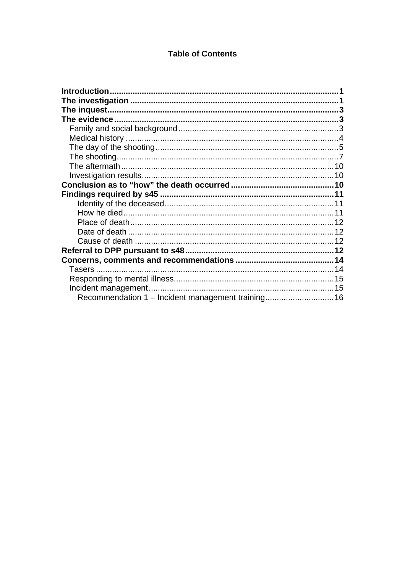#### **Table of Contents**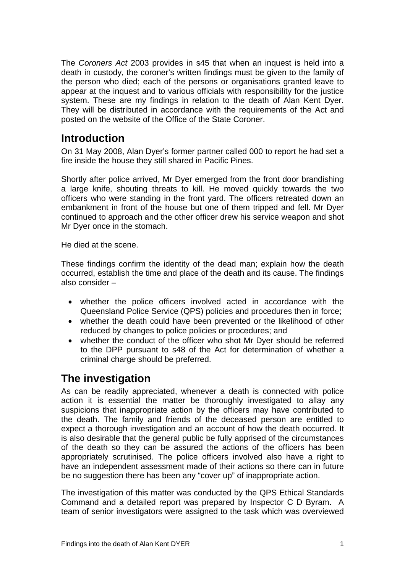<span id="page-2-0"></span>The *Coroners Act* 2003 provides in s45 that when an inquest is held into a death in custody, the coroner's written findings must be given to the family of the person who died; each of the persons or organisations granted leave to appear at the inquest and to various officials with responsibility for the justice system. These are my findings in relation to the death of Alan Kent Dyer. They will be distributed in accordance with the requirements of the Act and posted on the website of the Office of the State Coroner.

# **Introduction**

On 31 May 2008, Alan Dyer's former partner called 000 to report he had set a fire inside the house they still shared in Pacific Pines.

Shortly after police arrived, Mr Dyer emerged from the front door brandishing a large knife, shouting threats to kill. He moved quickly towards the two officers who were standing in the front yard. The officers retreated down an embankment in front of the house but one of them tripped and fell. Mr Dyer continued to approach and the other officer drew his service weapon and shot Mr Dyer once in the stomach.

He died at the scene.

These findings confirm the identity of the dead man; explain how the death occurred, establish the time and place of the death and its cause. The findings also consider –

- whether the police officers involved acted in accordance with the Queensland Police Service (QPS) policies and procedures then in force;
- whether the death could have been prevented or the likelihood of other reduced by changes to police policies or procedures; and
- whether the conduct of the officer who shot Mr Dyer should be referred to the DPP pursuant to s48 of the Act for determination of whether a criminal charge should be preferred.

# **The investigation**

As can be readily appreciated, whenever a death is connected with police action it is essential the matter be thoroughly investigated to allay any suspicions that inappropriate action by the officers may have contributed to the death. The family and friends of the deceased person are entitled to expect a thorough investigation and an account of how the death occurred. It is also desirable that the general public be fully apprised of the circumstances of the death so they can be assured the actions of the officers has been appropriately scrutinised. The police officers involved also have a right to have an independent assessment made of their actions so there can in future be no suggestion there has been any "cover up" of inappropriate action.

The investigation of this matter was conducted by the QPS Ethical Standards Command and a detailed report was prepared by Inspector C D Byram. A team of senior investigators were assigned to the task which was overviewed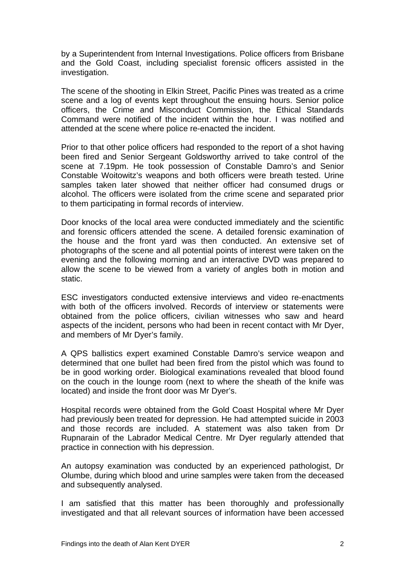by a Superintendent from Internal Investigations. Police officers from Brisbane and the Gold Coast, including specialist forensic officers assisted in the investigation.

The scene of the shooting in Elkin Street, Pacific Pines was treated as a crime scene and a log of events kept throughout the ensuing hours. Senior police officers, the Crime and Misconduct Commission, the Ethical Standards Command were notified of the incident within the hour. I was notified and attended at the scene where police re-enacted the incident.

Prior to that other police officers had responded to the report of a shot having been fired and Senior Sergeant Goldsworthy arrived to take control of the scene at 7.19pm. He took possession of Constable Damro's and Senior Constable Woitowitz's weapons and both officers were breath tested. Urine samples taken later showed that neither officer had consumed drugs or alcohol. The officers were isolated from the crime scene and separated prior to them participating in formal records of interview.

Door knocks of the local area were conducted immediately and the scientific and forensic officers attended the scene. A detailed forensic examination of the house and the front yard was then conducted. An extensive set of photographs of the scene and all potential points of interest were taken on the evening and the following morning and an interactive DVD was prepared to allow the scene to be viewed from a variety of angles both in motion and static.

ESC investigators conducted extensive interviews and video re-enactments with both of the officers involved. Records of interview or statements were obtained from the police officers, civilian witnesses who saw and heard aspects of the incident, persons who had been in recent contact with Mr Dyer, and members of Mr Dyer's family.

A QPS ballistics expert examined Constable Damro's service weapon and determined that one bullet had been fired from the pistol which was found to be in good working order. Biological examinations revealed that blood found on the couch in the lounge room (next to where the sheath of the knife was located) and inside the front door was Mr Dyer's.

Hospital records were obtained from the Gold Coast Hospital where Mr Dyer had previously been treated for depression. He had attempted suicide in 2003 and those records are included. A statement was also taken from Dr Rupnarain of the Labrador Medical Centre. Mr Dyer regularly attended that practice in connection with his depression.

An autopsy examination was conducted by an experienced pathologist, Dr Olumbe, during which blood and urine samples were taken from the deceased and subsequently analysed.

I am satisfied that this matter has been thoroughly and professionally investigated and that all relevant sources of information have been accessed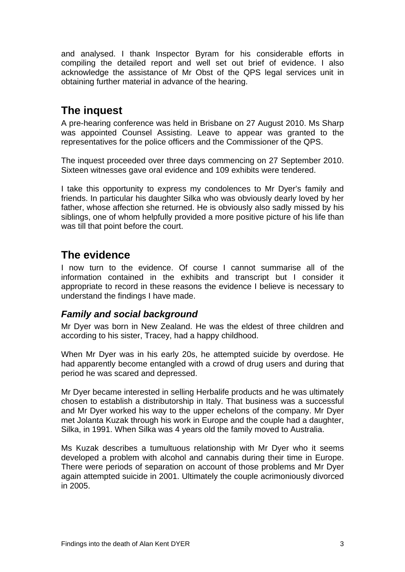<span id="page-4-0"></span>and analysed. I thank Inspector Byram for his considerable efforts in compiling the detailed report and well set out brief of evidence. I also acknowledge the assistance of Mr Obst of the QPS legal services unit in obtaining further material in advance of the hearing.

# **The inquest**

A pre-hearing conference was held in Brisbane on 27 August 2010. Ms Sharp was appointed Counsel Assisting. Leave to appear was granted to the representatives for the police officers and the Commissioner of the QPS.

The inquest proceeded over three days commencing on 27 September 2010. Sixteen witnesses gave oral evidence and 109 exhibits were tendered.

I take this opportunity to express my condolences to Mr Dyer's family and friends. In particular his daughter Silka who was obviously dearly loved by her father, whose affection she returned. He is obviously also sadly missed by his siblings, one of whom helpfully provided a more positive picture of his life than was till that point before the court.

## **The evidence**

I now turn to the evidence. Of course I cannot summarise all of the information contained in the exhibits and transcript but I consider it appropriate to record in these reasons the evidence I believe is necessary to understand the findings I have made.

#### *Family and social background*

Mr Dyer was born in New Zealand. He was the eldest of three children and according to his sister, Tracey, had a happy childhood.

When Mr Dyer was in his early 20s, he attempted suicide by overdose. He had apparently become entangled with a crowd of drug users and during that period he was scared and depressed.

Mr Dyer became interested in selling Herbalife products and he was ultimately chosen to establish a distributorship in Italy. That business was a successful and Mr Dyer worked his way to the upper echelons of the company. Mr Dyer met Jolanta Kuzak through his work in Europe and the couple had a daughter, Silka, in 1991. When Silka was 4 years old the family moved to Australia.

Ms Kuzak describes a tumultuous relationship with Mr Dyer who it seems developed a problem with alcohol and cannabis during their time in Europe. There were periods of separation on account of those problems and Mr Dyer again attempted suicide in 2001. Ultimately the couple acrimoniously divorced in 2005.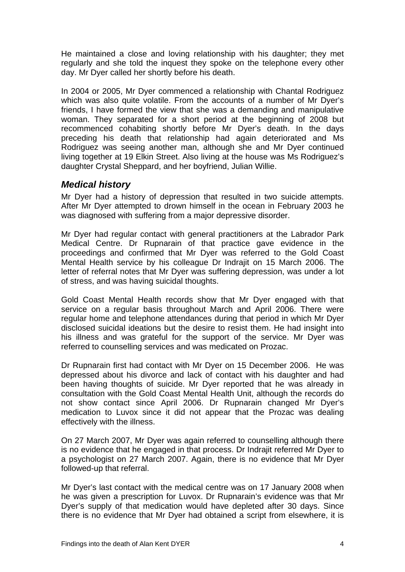<span id="page-5-0"></span>He maintained a close and loving relationship with his daughter; they met regularly and she told the inquest they spoke on the telephone every other day. Mr Dyer called her shortly before his death.

In 2004 or 2005, Mr Dyer commenced a relationship with Chantal Rodriguez which was also quite volatile. From the accounts of a number of Mr Dyer's friends, I have formed the view that she was a demanding and manipulative woman. They separated for a short period at the beginning of 2008 but recommenced cohabiting shortly before Mr Dyer's death. In the days preceding his death that relationship had again deteriorated and Ms Rodriguez was seeing another man, although she and Mr Dyer continued living together at 19 Elkin Street. Also living at the house was Ms Rodriguez's daughter Crystal Sheppard, and her boyfriend, Julian Willie.

#### *Medical history*

Mr Dyer had a history of depression that resulted in two suicide attempts. After Mr Dyer attempted to drown himself in the ocean in February 2003 he was diagnosed with suffering from a major depressive disorder.

Mr Dyer had regular contact with general practitioners at the Labrador Park Medical Centre. Dr Rupnarain of that practice gave evidence in the proceedings and confirmed that Mr Dyer was referred to the Gold Coast Mental Health service by his colleague Dr Indrajit on 15 March 2006. The letter of referral notes that Mr Dyer was suffering depression, was under a lot of stress, and was having suicidal thoughts.

Gold Coast Mental Health records show that Mr Dyer engaged with that service on a regular basis throughout March and April 2006. There were regular home and telephone attendances during that period in which Mr Dyer disclosed suicidal ideations but the desire to resist them. He had insight into his illness and was grateful for the support of the service. Mr Dyer was referred to counselling services and was medicated on Prozac.

Dr Rupnarain first had contact with Mr Dyer on 15 December 2006. He was depressed about his divorce and lack of contact with his daughter and had been having thoughts of suicide. Mr Dyer reported that he was already in consultation with the Gold Coast Mental Health Unit, although the records do not show contact since April 2006. Dr Rupnarain changed Mr Dyer's medication to Luvox since it did not appear that the Prozac was dealing effectively with the illness.

On 27 March 2007, Mr Dyer was again referred to counselling although there is no evidence that he engaged in that process. Dr Indrajit referred Mr Dyer to a psychologist on 27 March 2007. Again, there is no evidence that Mr Dyer followed-up that referral.

Mr Dyer's last contact with the medical centre was on 17 January 2008 when he was given a prescription for Luvox. Dr Rupnarain's evidence was that Mr Dyer's supply of that medication would have depleted after 30 days. Since there is no evidence that Mr Dyer had obtained a script from elsewhere, it is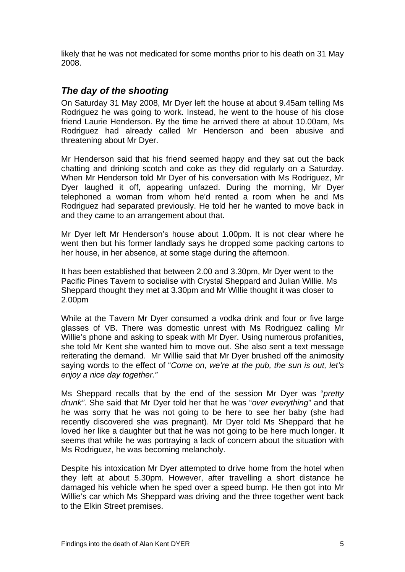<span id="page-6-0"></span>likely that he was not medicated for some months prior to his death on 31 May 2008.

#### *The day of the shooting*

On Saturday 31 May 2008, Mr Dyer left the house at about 9.45am telling Ms Rodriguez he was going to work. Instead, he went to the house of his close friend Laurie Henderson. By the time he arrived there at about 10.00am, Ms Rodriguez had already called Mr Henderson and been abusive and threatening about Mr Dyer.

Mr Henderson said that his friend seemed happy and they sat out the back chatting and drinking scotch and coke as they did regularly on a Saturday. When Mr Henderson told Mr Dyer of his conversation with Ms Rodriguez, Mr Dyer laughed it off, appearing unfazed. During the morning, Mr Dyer telephoned a woman from whom he'd rented a room when he and Ms Rodriguez had separated previously. He told her he wanted to move back in and they came to an arrangement about that.

Mr Dyer left Mr Henderson's house about 1.00pm. It is not clear where he went then but his former landlady says he dropped some packing cartons to her house, in her absence, at some stage during the afternoon.

It has been established that between 2.00 and 3.30pm, Mr Dyer went to the Pacific Pines Tavern to socialise with Crystal Sheppard and Julian Willie. Ms Sheppard thought they met at 3.30pm and Mr Willie thought it was closer to 2.00pm

While at the Tavern Mr Dyer consumed a vodka drink and four or five large glasses of VB. There was domestic unrest with Ms Rodriguez calling Mr Willie's phone and asking to speak with Mr Dyer. Using numerous profanities, she told Mr Kent she wanted him to move out. She also sent a text message reiterating the demand. Mr Willie said that Mr Dyer brushed off the animosity saying words to the effect of "*Come on, we're at the pub, the sun is out, let's enjoy a nice day together."* 

Ms Sheppard recalls that by the end of the session Mr Dyer was "*pretty drunk"*. She said that Mr Dyer told her that he was "*over everything*" and that he was sorry that he was not going to be here to see her baby (she had recently discovered she was pregnant). Mr Dyer told Ms Sheppard that he loved her like a daughter but that he was not going to be here much longer. It seems that while he was portraying a lack of concern about the situation with Ms Rodriguez, he was becoming melancholy.

Despite his intoxication Mr Dyer attempted to drive home from the hotel when they left at about 5.30pm. However, after travelling a short distance he damaged his vehicle when he sped over a speed bump. He then got into Mr Willie's car which Ms Sheppard was driving and the three together went back to the Elkin Street premises.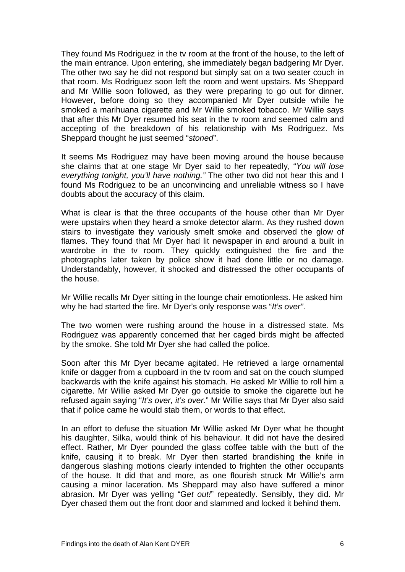They found Ms Rodriguez in the tv room at the front of the house, to the left of the main entrance. Upon entering, she immediately began badgering Mr Dyer. The other two say he did not respond but simply sat on a two seater couch in that room. Ms Rodriguez soon left the room and went upstairs. Ms Sheppard and Mr Willie soon followed, as they were preparing to go out for dinner. However, before doing so they accompanied Mr Dyer outside while he smoked a marihuana cigarette and Mr Willie smoked tobacco. Mr Willie says that after this Mr Dyer resumed his seat in the tv room and seemed calm and accepting of the breakdown of his relationship with Ms Rodriguez. Ms Sheppard thought he just seemed "*stoned*".

It seems Ms Rodriguez may have been moving around the house because she claims that at one stage Mr Dyer said to her repeatedly, "*You will lose everything tonight, you'll have nothing."* The other two did not hear this and I found Ms Rodriguez to be an unconvincing and unreliable witness so I have doubts about the accuracy of this claim.

What is clear is that the three occupants of the house other than Mr Dyer were upstairs when they heard a smoke detector alarm. As they rushed down stairs to investigate they variously smelt smoke and observed the glow of flames. They found that Mr Dyer had lit newspaper in and around a built in wardrobe in the tv room. They quickly extinguished the fire and the photographs later taken by police show it had done little or no damage. Understandably, however, it shocked and distressed the other occupants of the house.

Mr Willie recalls Mr Dyer sitting in the lounge chair emotionless. He asked him why he had started the fire. Mr Dyer's only response was "*It's over"*.

The two women were rushing around the house in a distressed state. Ms Rodriguez was apparently concerned that her caged birds might be affected by the smoke. She told Mr Dyer she had called the police.

Soon after this Mr Dyer became agitated. He retrieved a large ornamental knife or dagger from a cupboard in the tv room and sat on the couch slumped backwards with the knife against his stomach. He asked Mr Willie to roll him a cigarette. Mr Willie asked Mr Dyer go outside to smoke the cigarette but he refused again saying "*It's over, it's over.*" Mr Willie says that Mr Dyer also said that if police came he would stab them, or words to that effect.

In an effort to defuse the situation Mr Willie asked Mr Dyer what he thought his daughter, Silka, would think of his behaviour. It did not have the desired effect. Rather, Mr Dyer pounded the glass coffee table with the butt of the knife, causing it to break. Mr Dyer then started brandishing the knife in dangerous slashing motions clearly intended to frighten the other occupants of the house. It did that and more, as one flourish struck Mr Willie's arm causing a minor laceration. Ms Sheppard may also have suffered a minor abrasion. Mr Dyer was yelling "G*et out!*" repeatedly. Sensibly, they did. Mr Dyer chased them out the front door and slammed and locked it behind them.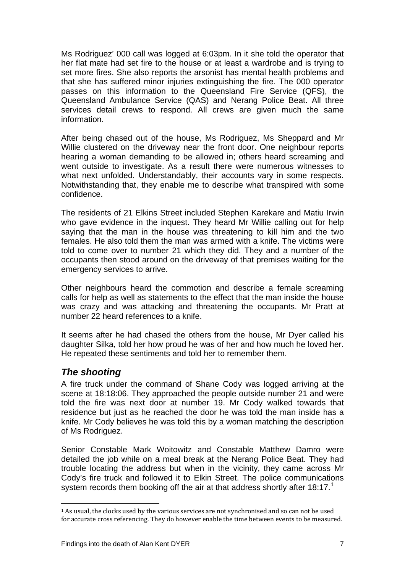<span id="page-8-0"></span>Ms Rodriguez' 000 call was logged at 6:03pm. In it she told the operator that her flat mate had set fire to the house or at least a wardrobe and is trying to set more fires. She also reports the arsonist has mental health problems and that she has suffered minor injuries extinguishing the fire. The 000 operator passes on this information to the Queensland Fire Service (QFS), the Queensland Ambulance Service (QAS) and Nerang Police Beat. All three services detail crews to respond. All crews are given much the same information.

After being chased out of the house, Ms Rodriguez, Ms Sheppard and Mr Willie clustered on the driveway near the front door. One neighbour reports hearing a woman demanding to be allowed in; others heard screaming and went outside to investigate. As a result there were numerous witnesses to what next unfolded. Understandably, their accounts vary in some respects. Notwithstanding that, they enable me to describe what transpired with some confidence.

The residents of 21 Elkins Street included Stephen Karekare and Matiu Irwin who gave evidence in the inquest. They heard Mr Willie calling out for help saying that the man in the house was threatening to kill him and the two females. He also told them the man was armed with a knife. The victims were told to come over to number 21 which they did. They and a number of the occupants then stood around on the driveway of that premises waiting for the emergency services to arrive.

Other neighbours heard the commotion and describe a female screaming calls for help as well as statements to the effect that the man inside the house was crazy and was attacking and threatening the occupants. Mr Pratt at number 22 heard references to a knife.

It seems after he had chased the others from the house, Mr Dyer called his daughter Silka, told her how proud he was of her and how much he loved her. He repeated these sentiments and told her to remember them.

#### *The shooting*

A fire truck under the command of Shane Cody was logged arriving at the scene at 18:18:06. They approached the people outside number 21 and were told the fire was next door at number 19. Mr Cody walked towards that residence but just as he reached the door he was told the man inside has a knife. Mr Cody believes he was told this by a woman matching the description of Ms Rodriguez.

Senior Constable Mark Woitowitz and Constable Matthew Damro were detailed the job while on a meal break at the Nerang Police Beat. They had trouble locating the address but when in the vicinity, they came across Mr Cody's fire truck and followed it to Elkin Street. The police communications system records them booking off the air at that address shortly after [1](#page-8-1)8:17.<sup>1</sup>

<span id="page-8-1"></span><sup>1</sup> As usual, the clocks used by the various services are not synchronised and so can not be used for accurate cross referencing. They do however enable the time between events to be measured.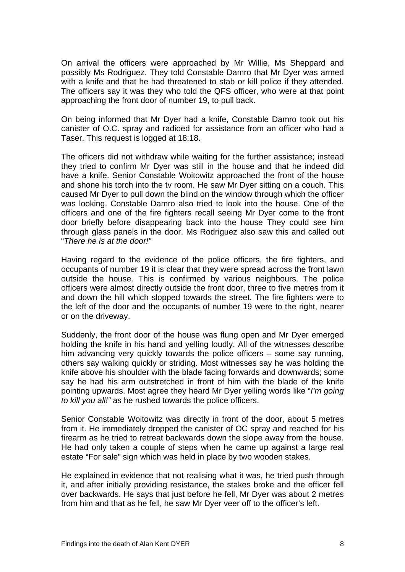On arrival the officers were approached by Mr Willie, Ms Sheppard and possibly Ms Rodriguez. They told Constable Damro that Mr Dyer was armed with a knife and that he had threatened to stab or kill police if they attended. The officers say it was they who told the QFS officer, who were at that point approaching the front door of number 19, to pull back.

On being informed that Mr Dyer had a knife, Constable Damro took out his canister of O.C. spray and radioed for assistance from an officer who had a Taser. This request is logged at 18:18.

The officers did not withdraw while waiting for the further assistance; instead they tried to confirm Mr Dyer was still in the house and that he indeed did have a knife. Senior Constable Woitowitz approached the front of the house and shone his torch into the tv room. He saw Mr Dyer sitting on a couch. This caused Mr Dyer to pull down the blind on the window through which the officer was looking. Constable Damro also tried to look into the house. One of the officers and one of the fire fighters recall seeing Mr Dyer come to the front door briefly before disappearing back into the house They could see him through glass panels in the door. Ms Rodriguez also saw this and called out "*There he is at the door!"*

Having regard to the evidence of the police officers, the fire fighters, and occupants of number 19 it is clear that they were spread across the front lawn outside the house. This is confirmed by various neighbours. The police officers were almost directly outside the front door, three to five metres from it and down the hill which slopped towards the street. The fire fighters were to the left of the door and the occupants of number 19 were to the right, nearer or on the driveway.

Suddenly, the front door of the house was flung open and Mr Dyer emerged holding the knife in his hand and yelling loudly. All of the witnesses describe him advancing very quickly towards the police officers – some say running, others say walking quickly or striding. Most witnesses say he was holding the knife above his shoulder with the blade facing forwards and downwards; some say he had his arm outstretched in front of him with the blade of the knife pointing upwards. Most agree they heard Mr Dyer yelling words like "*I'm going to kill you all!"* as he rushed towards the police officers.

Senior Constable Woitowitz was directly in front of the door, about 5 metres from it. He immediately dropped the canister of OC spray and reached for his firearm as he tried to retreat backwards down the slope away from the house. He had only taken a couple of steps when he came up against a large real estate "For sale" sign which was held in place by two wooden stakes.

He explained in evidence that not realising what it was, he tried push through it, and after initially providing resistance, the stakes broke and the officer fell over backwards. He says that just before he fell, Mr Dyer was about 2 metres from him and that as he fell, he saw Mr Dyer veer off to the officer's left.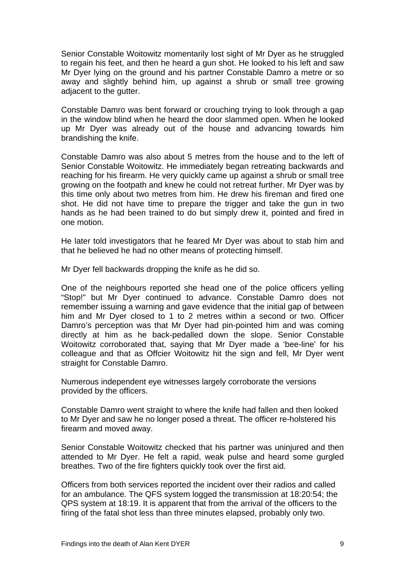Senior Constable Woitowitz momentarily lost sight of Mr Dyer as he struggled to regain his feet, and then he heard a gun shot. He looked to his left and saw Mr Dyer lying on the ground and his partner Constable Damro a metre or so away and slightly behind him, up against a shrub or small tree growing adjacent to the gutter.

Constable Damro was bent forward or crouching trying to look through a gap in the window blind when he heard the door slammed open. When he looked up Mr Dyer was already out of the house and advancing towards him brandishing the knife.

Constable Damro was also about 5 metres from the house and to the left of Senior Constable Woitowitz. He immediately began retreating backwards and reaching for his firearm. He very quickly came up against a shrub or small tree growing on the footpath and knew he could not retreat further. Mr Dyer was by this time only about two metres from him. He drew his fireman and fired one shot. He did not have time to prepare the trigger and take the gun in two hands as he had been trained to do but simply drew it, pointed and fired in one motion.

He later told investigators that he feared Mr Dyer was about to stab him and that he believed he had no other means of protecting himself.

Mr Dyer fell backwards dropping the knife as he did so.

One of the neighbours reported she head one of the police officers yelling "Stop!" but Mr Dyer continued to advance. Constable Damro does not remember issuing a warning and gave evidence that the initial gap of between him and Mr Dyer closed to 1 to 2 metres within a second or two. Officer Damro's perception was that Mr Dyer had pin-pointed him and was coming directly at him as he back-pedalled down the slope. Senior Constable Woitowitz corroborated that, saying that Mr Dyer made a 'bee-line' for his colleague and that as Offcier Woitowitz hit the sign and fell, Mr Dyer went straight for Constable Damro.

Numerous independent eye witnesses largely corroborate the versions provided by the officers.

Constable Damro went straight to where the knife had fallen and then looked to Mr Dyer and saw he no longer posed a threat. The officer re-holstered his firearm and moved away.

Senior Constable Woitowitz checked that his partner was uninjured and then attended to Mr Dyer. He felt a rapid, weak pulse and heard some gurgled breathes. Two of the fire fighters quickly took over the first aid.

Officers from both services reported the incident over their radios and called for an ambulance. The QFS system logged the transmission at 18:20:54; the QPS system at 18:19. It is apparent that from the arrival of the officers to the firing of the fatal shot less than three minutes elapsed, probably only two.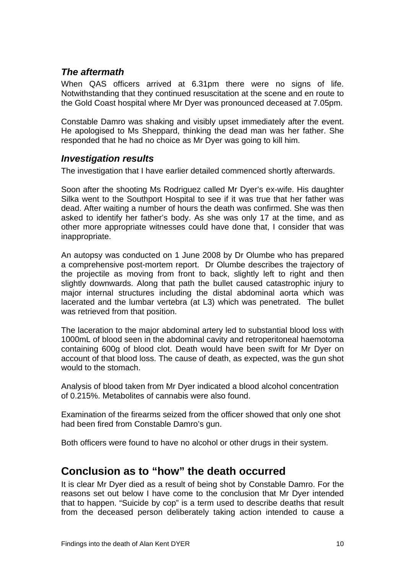#### <span id="page-11-0"></span>*The aftermath*

When QAS officers arrived at 6.31pm there were no signs of life. Notwithstanding that they continued resuscitation at the scene and en route to the Gold Coast hospital where Mr Dyer was pronounced deceased at 7.05pm.

Constable Damro was shaking and visibly upset immediately after the event. He apologised to Ms Sheppard, thinking the dead man was her father. She responded that he had no choice as Mr Dyer was going to kill him.

#### *Investigation results*

The investigation that I have earlier detailed commenced shortly afterwards.

Soon after the shooting Ms Rodriguez called Mr Dyer's ex-wife. His daughter Silka went to the Southport Hospital to see if it was true that her father was dead. After waiting a number of hours the death was confirmed. She was then asked to identify her father's body. As she was only 17 at the time, and as other more appropriate witnesses could have done that, I consider that was inappropriate.

An autopsy was conducted on 1 June 2008 by Dr Olumbe who has prepared a comprehensive post-mortem report. Dr Olumbe describes the trajectory of the projectile as moving from front to back, slightly left to right and then slightly downwards. Along that path the bullet caused catastrophic injury to major internal structures including the distal abdominal aorta which was lacerated and the lumbar vertebra (at L3) which was penetrated. The bullet was retrieved from that position.

The laceration to the major abdominal artery led to substantial blood loss with 1000mL of blood seen in the abdominal cavity and retroperitoneal haemotoma containing 600g of blood clot. Death would have been swift for Mr Dyer on account of that blood loss. The cause of death, as expected, was the gun shot would to the stomach.

Analysis of blood taken from Mr Dyer indicated a blood alcohol concentration of 0.215%. Metabolites of cannabis were also found.

Examination of the firearms seized from the officer showed that only one shot had been fired from Constable Damro's gun.

Both officers were found to have no alcohol or other drugs in their system.

### **Conclusion as to "how" the death occurred**

It is clear Mr Dyer died as a result of being shot by Constable Damro. For the reasons set out below I have come to the conclusion that Mr Dyer intended that to happen. "Suicide by cop" is a term used to describe deaths that result from the deceased person deliberately taking action intended to cause a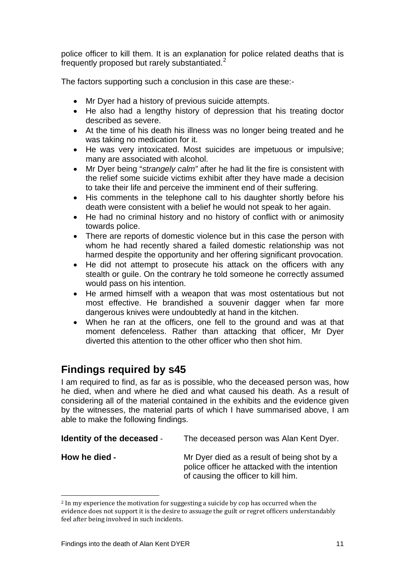<span id="page-12-0"></span>police officer to kill them. It is an explanation for police related deaths that is frequently proposed but rarely substantiated.<sup>[2](#page-12-1)</sup>

The factors supporting such a conclusion in this case are these:-

- Mr Dyer had a history of previous suicide attempts.
- He also had a lengthy history of depression that his treating doctor described as severe.
- At the time of his death his illness was no longer being treated and he was taking no medication for it.
- He was very intoxicated. Most suicides are impetuous or impulsive; many are associated with alcohol.
- Mr Dyer being "*strangely calm"* after he had lit the fire is consistent with the relief some suicide victims exhibit after they have made a decision to take their life and perceive the imminent end of their suffering.
- His comments in the telephone call to his daughter shortly before his death were consistent with a belief he would not speak to her again.
- He had no criminal history and no history of conflict with or animosity towards police.
- There are reports of domestic violence but in this case the person with whom he had recently shared a failed domestic relationship was not harmed despite the opportunity and her offering significant provocation.
- He did not attempt to prosecute his attack on the officers with any stealth or guile. On the contrary he told someone he correctly assumed would pass on his intention.
- He armed himself with a weapon that was most ostentatious but not most effective. He brandished a souvenir dagger when far more dangerous knives were undoubtedly at hand in the kitchen.
- When he ran at the officers, one fell to the ground and was at that moment defenceless. Rather than attacking that officer, Mr Dyer diverted this attention to the other officer who then shot him.

## **Findings required by s45**

I am required to find, as far as is possible, who the deceased person was, how he died, when and where he died and what caused his death. As a result of considering all of the material contained in the exhibits and the evidence given by the witnesses, the material parts of which I have summarised above, I am able to make the following findings.

| <b>Identity of the deceased -</b> | The deceased person was Alan Kent Dyer.                                                                                             |
|-----------------------------------|-------------------------------------------------------------------------------------------------------------------------------------|
| How he died -                     | Mr Dyer died as a result of being shot by a<br>police officer he attacked with the intention<br>of causing the officer to kill him. |

<span id="page-12-1"></span><sup>2</sup> In my experience the motivation for suggesting a suicide by cop has occurred when the evidence does not support it is the desire to assuage the guilt or regret officers understandably feel after being involved in such incidents.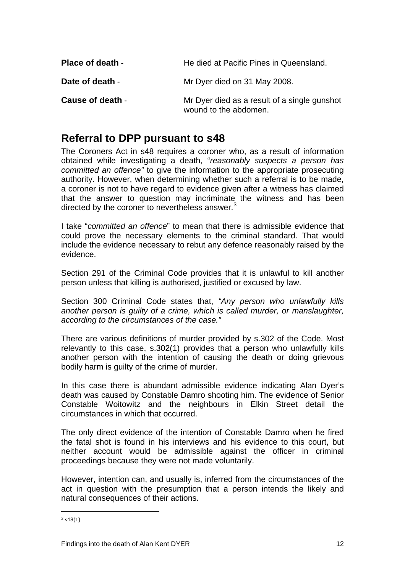<span id="page-13-0"></span>

| <b>Place of death -</b> | He died at Pacific Pines in Queensland.                               |
|-------------------------|-----------------------------------------------------------------------|
| Date of death -         | Mr Dyer died on 31 May 2008.                                          |
| <b>Cause of death -</b> | Mr Dyer died as a result of a single gunshot<br>wound to the abdomen. |

## **Referral to DPP pursuant to s48**

The Coroners Act in s48 requires a coroner who, as a result of information obtained while investigating a death, "*reasonably suspects a person has committed an offence"* to give the information to the appropriate prosecuting authority. However, when determining whether such a referral is to be made, a coroner is not to have regard to evidence given after a witness has claimed that the answer to question may incriminate the witness and has been directed by the coroner to nevertheless answer. $3$ 

I take "*committed an offence*" to mean that there is admissible evidence that could prove the necessary elements to the criminal standard. That would include the evidence necessary to rebut any defence reasonably raised by the evidence.

Section 291 of the Criminal Code provides that it is unlawful to kill another person unless that killing is authorised, justified or excused by law.

Section 300 Criminal Code states that, *"Any person who unlawfully kills another person is guilty of a crime, which is called murder, or manslaughter, according to the circumstances of the case."* 

There are various definitions of murder provided by s.302 of the Code. Most relevantly to this case, s.302(1) provides that a person who unlawfully kills another person with the intention of causing the death or doing grievous bodily harm is guilty of the crime of murder.

In this case there is abundant admissible evidence indicating Alan Dyer's death was caused by Constable Damro shooting him. The evidence of Senior Constable Woitowitz and the neighbours in Elkin Street detail the circumstances in which that occurred.

The only direct evidence of the intention of Constable Damro when he fired the fatal shot is found in his interviews and his evidence to this court, but neither account would be admissible against the officer in criminal proceedings because they were not made voluntarily.

However, intention can, and usually is, inferred from the circumstances of the act in question with the presumption that a person intends the likely and natural consequences of their actions.

<span id="page-13-1"></span> $3 \text{ s}48(1)$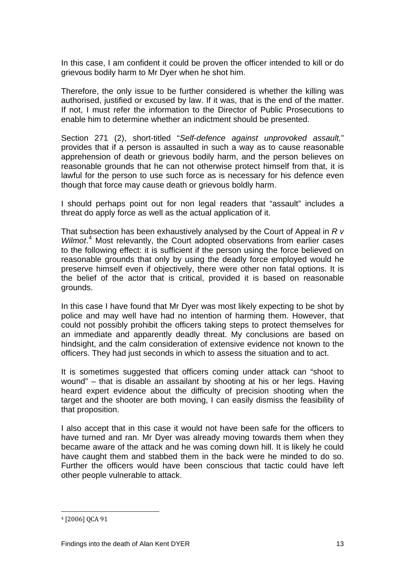In this case, I am confident it could be proven the officer intended to kill or do grievous bodily harm to Mr Dyer when he shot him.

Therefore, the only issue to be further considered is whether the killing was authorised, justified or excused by law. If it was, that is the end of the matter. If not, I must refer the information to the Director of Public Prosecutions to enable him to determine whether an indictment should be presented.

Section 271 (2), short-titled "*Self-defence against unprovoked assault,*" provides that if a person is assaulted in such a way as to cause reasonable apprehension of death or grievous bodily harm, and the person believes on reasonable grounds that he can not otherwise protect himself from that, it is lawful for the person to use such force as is necessary for his defence even though that force may cause death or grievous boldly harm.

I should perhaps point out for non legal readers that "assault" includes a threat do apply force as well as the actual application of it.

That subsection has been exhaustively analysed by the Court of Appeal in *R v*  Wilmot.<sup>[4](#page-14-0)</sup> Most relevantly, the Court adopted observations from earlier cases to the following effect: it is sufficient if the person using the force believed on reasonable grounds that only by using the deadly force employed would he preserve himself even if objectively, there were other non fatal options. It is the belief of the actor that is critical, provided it is based on reasonable grounds.

In this case I have found that Mr Dyer was most likely expecting to be shot by police and may well have had no intention of harming them. However, that could not possibly prohibit the officers taking steps to protect themselves for an immediate and apparently deadly threat. My conclusions are based on hindsight, and the calm consideration of extensive evidence not known to the officers. They had just seconds in which to assess the situation and to act.

It is sometimes suggested that officers coming under attack can "shoot to wound" – that is disable an assailant by shooting at his or her legs. Having heard expert evidence about the difficulty of precision shooting when the target and the shooter are both moving, I can easily dismiss the feasibility of that proposition.

I also accept that in this case it would not have been safe for the officers to have turned and ran. Mr Dyer was already moving towards them when they became aware of the attack and he was coming down hill. It is likely he could have caught them and stabbed them in the back were he minded to do so. Further the officers would have been conscious that tactic could have left other people vulnerable to attack.

<span id="page-14-0"></span><sup>4 [2006]</sup> QCA 91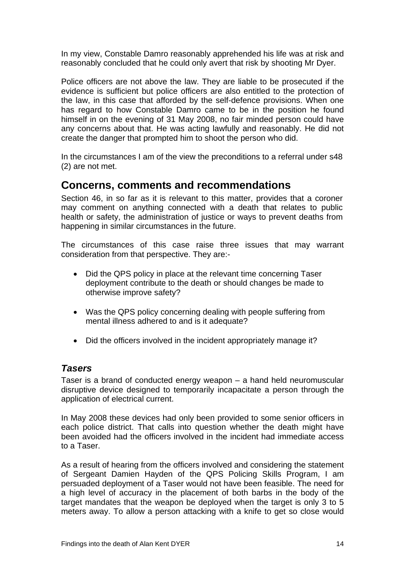<span id="page-15-0"></span>In my view, Constable Damro reasonably apprehended his life was at risk and reasonably concluded that he could only avert that risk by shooting Mr Dyer.

Police officers are not above the law. They are liable to be prosecuted if the evidence is sufficient but police officers are also entitled to the protection of the law, in this case that afforded by the self-defence provisions. When one has regard to how Constable Damro came to be in the position he found himself in on the evening of 31 May 2008, no fair minded person could have any concerns about that. He was acting lawfully and reasonably. He did not create the danger that prompted him to shoot the person who did.

In the circumstances I am of the view the preconditions to a referral under s48 (2) are not met.

### **Concerns, comments and recommendations**

Section 46, in so far as it is relevant to this matter, provides that a coroner may comment on anything connected with a death that relates to public health or safety, the administration of justice or ways to prevent deaths from happening in similar circumstances in the future.

The circumstances of this case raise three issues that may warrant consideration from that perspective. They are:-

- Did the QPS policy in place at the relevant time concerning Taser deployment contribute to the death or should changes be made to otherwise improve safety?
- Was the QPS policy concerning dealing with people suffering from mental illness adhered to and is it adequate?
- Did the officers involved in the incident appropriately manage it?

#### *Tasers*

Taser is a brand of conducted energy weapon – a hand held neuromuscular disruptive device designed to temporarily incapacitate a person through the application of electrical current.

In May 2008 these devices had only been provided to some senior officers in each police district. That calls into question whether the death might have been avoided had the officers involved in the incident had immediate access to a Taser.

As a result of hearing from the officers involved and considering the statement of Sergeant Damien Hayden of the QPS Policing Skills Program, I am persuaded deployment of a Taser would not have been feasible. The need for a high level of accuracy in the placement of both barbs in the body of the target mandates that the weapon be deployed when the target is only 3 to 5 meters away. To allow a person attacking with a knife to get so close would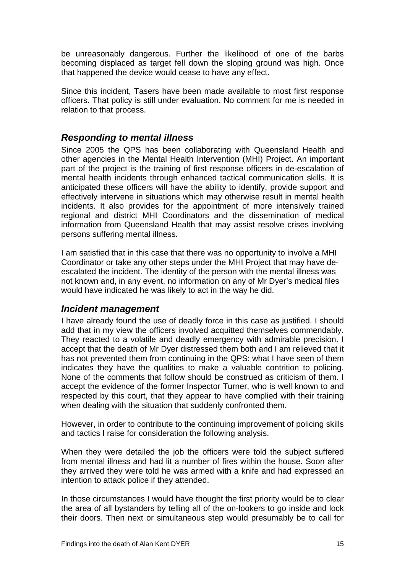<span id="page-16-0"></span>be unreasonably dangerous. Further the likelihood of one of the barbs becoming displaced as target fell down the sloping ground was high. Once that happened the device would cease to have any effect.

Since this incident, Tasers have been made available to most first response officers. That policy is still under evaluation. No comment for me is needed in relation to that process.

#### *Responding to mental illness*

Since 2005 the QPS has been collaborating with Queensland Health and other agencies in the Mental Health Intervention (MHI) Project. An important part of the project is the training of first response officers in de-escalation of mental health incidents through enhanced tactical communication skills. It is anticipated these officers will have the ability to identify, provide support and effectively intervene in situations which may otherwise result in mental health incidents. It also provides for the appointment of more intensively trained regional and district MHI Coordinators and the dissemination of medical information from Queensland Health that may assist resolve crises involving persons suffering mental illness.

I am satisfied that in this case that there was no opportunity to involve a MHI Coordinator or take any other steps under the MHI Project that may have deescalated the incident. The identity of the person with the mental illness was not known and, in any event, no information on any of Mr Dyer's medical files would have indicated he was likely to act in the way he did.

#### *Incident management*

I have already found the use of deadly force in this case as justified. I should add that in my view the officers involved acquitted themselves commendably. They reacted to a volatile and deadly emergency with admirable precision. I accept that the death of Mr Dyer distressed them both and I am relieved that it has not prevented them from continuing in the QPS: what I have seen of them indicates they have the qualities to make a valuable contrition to policing. None of the comments that follow should be construed as criticism of them. I accept the evidence of the former Inspector Turner, who is well known to and respected by this court, that they appear to have complied with their training when dealing with the situation that suddenly confronted them.

However, in order to contribute to the continuing improvement of policing skills and tactics I raise for consideration the following analysis.

When they were detailed the job the officers were told the subject suffered from mental illness and had lit a number of fires within the house. Soon after they arrived they were told he was armed with a knife and had expressed an intention to attack police if they attended.

In those circumstances I would have thought the first priority would be to clear the area of all bystanders by telling all of the on-lookers to go inside and lock their doors. Then next or simultaneous step would presumably be to call for